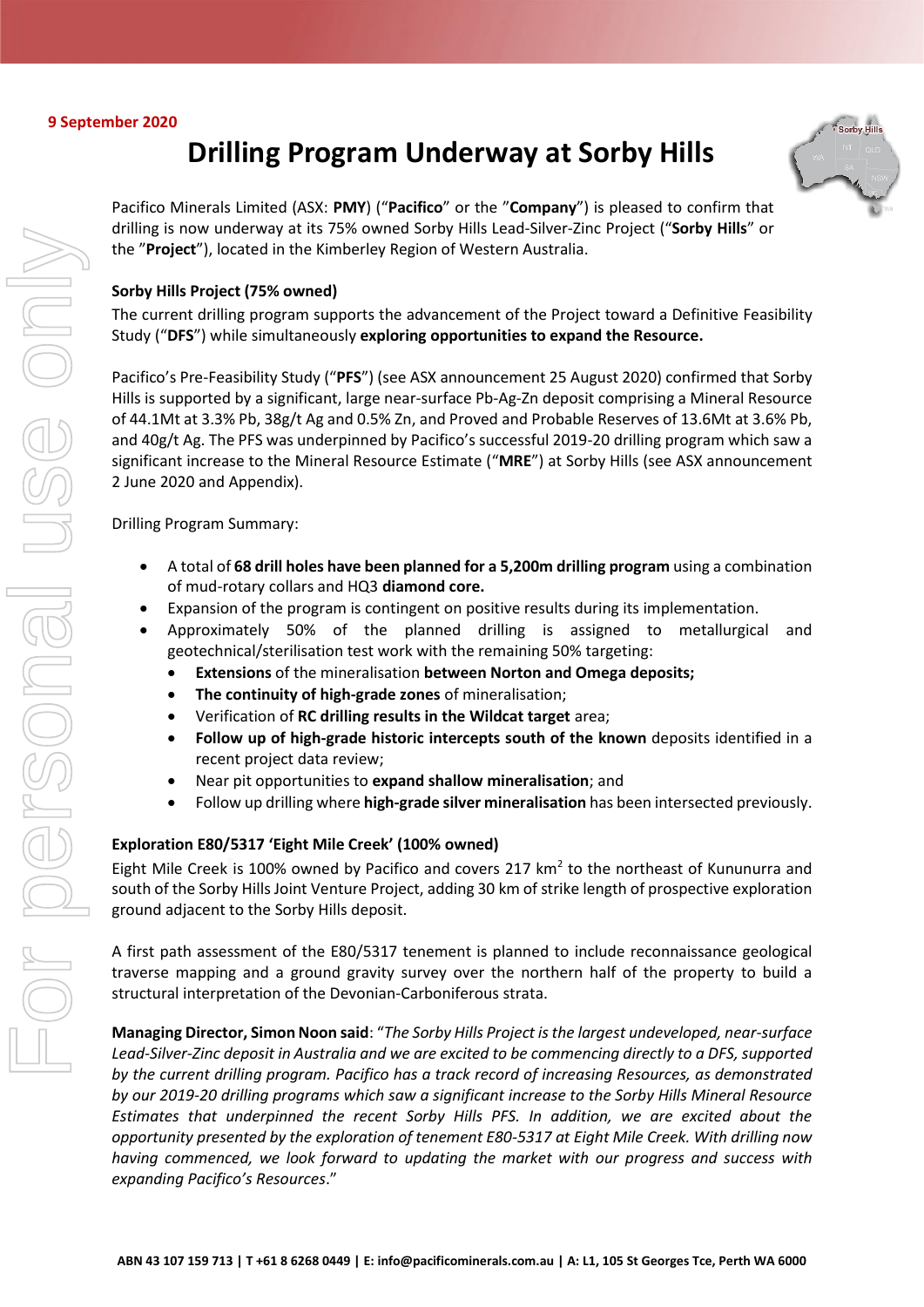## **9 September 2020**

# **Drilling Program Underway at Sorby Hills**



Pacifico Minerals Limited (ASX: **PMY**) ("**Pacifico**" or the "**Company**") is pleased to confirm that drilling is now underway at its 75% owned Sorby Hills Lead-Silver-Zinc Project ("**Sorby Hills**" or the "**Project**"), located in the Kimberley Region of Western Australia.

# **Sorby Hills Project (75% owned)**

The current drilling program supports the advancement of the Project toward a Definitive Feasibility Study ("**DFS**") while simultaneously **exploring opportunities to expand the Resource.**

Pacifico's Pre-Feasibility Study ("**PFS**") (see ASX announcement 25 August 2020) confirmed that Sorby Hills is supported by a significant, large near-surface Pb-Ag-Zn deposit comprising a Mineral Resource of 44.1Mt at 3.3% Pb, 38g/t Ag and 0.5% Zn, and Proved and Probable Reserves of 13.6Mt at 3.6% Pb, and 40g/t Ag. The PFS was underpinned by Pacifico's successful 2019-20 drilling program which saw a significant increase to the Mineral Resource Estimate ("**MRE**") at Sorby Hills (see ASX announcement 2 June 2020 and Appendix).

Drilling Program Summary:

- A total of **68 drill holes have been planned for a 5,200m drilling program** using a combination of mud-rotary collars and HQ3 **diamond core.**
- Expansion of the program is contingent on positive results during its implementation.
- Approximately 50% of the planned drilling is assigned to metallurgical and geotechnical/sterilisation test work with the remaining 50% targeting:
	- **Extensions** of the mineralisation **between Norton and Omega deposits;**
	- **The continuity of high-grade zones** of mineralisation;
	- Verification of **RC drilling results in the Wildcat target** area;
	- **Follow up of high-grade historic intercepts south of the known** deposits identified in a recent project data review;
	- Near pit opportunities to **expand shallow mineralisation**; and
	- Follow up drilling where **high-grade silver mineralisation** has been intersected previously.

# **Exploration E80/5317 'Eight Mile Creek' (100% owned)**

Eight Mile Creek is 100% owned by Pacifico and covers 217  $km<sup>2</sup>$  to the northeast of Kununurra and south of the Sorby Hills Joint Venture Project, adding 30 km of strike length of prospective exploration ground adjacent to the Sorby Hills deposit.

A first path assessment of the E80/5317 tenement is planned to include reconnaissance geological traverse mapping and a ground gravity survey over the northern half of the property to build a structural interpretation of the Devonian-Carboniferous strata.

**Managing Director, Simon Noon said**: "*The Sorby Hills Project is the largest undeveloped, near-surface Lead-Silver-Zinc deposit in Australia and we are excited to be commencing directly to a DFS, supported by the current drilling program. Pacifico has a track record of increasing Resources, as demonstrated by our 2019-20 drilling programs which saw a significant increase to the Sorby Hills Mineral Resource Estimates that underpinned the recent Sorby Hills PFS. In addition, we are excited about the opportunity presented by the exploration of tenement E80-5317 at Eight Mile Creek. With drilling now having commenced, we look forward to updating the market with our progress and success with expanding Pacifico's Resources*."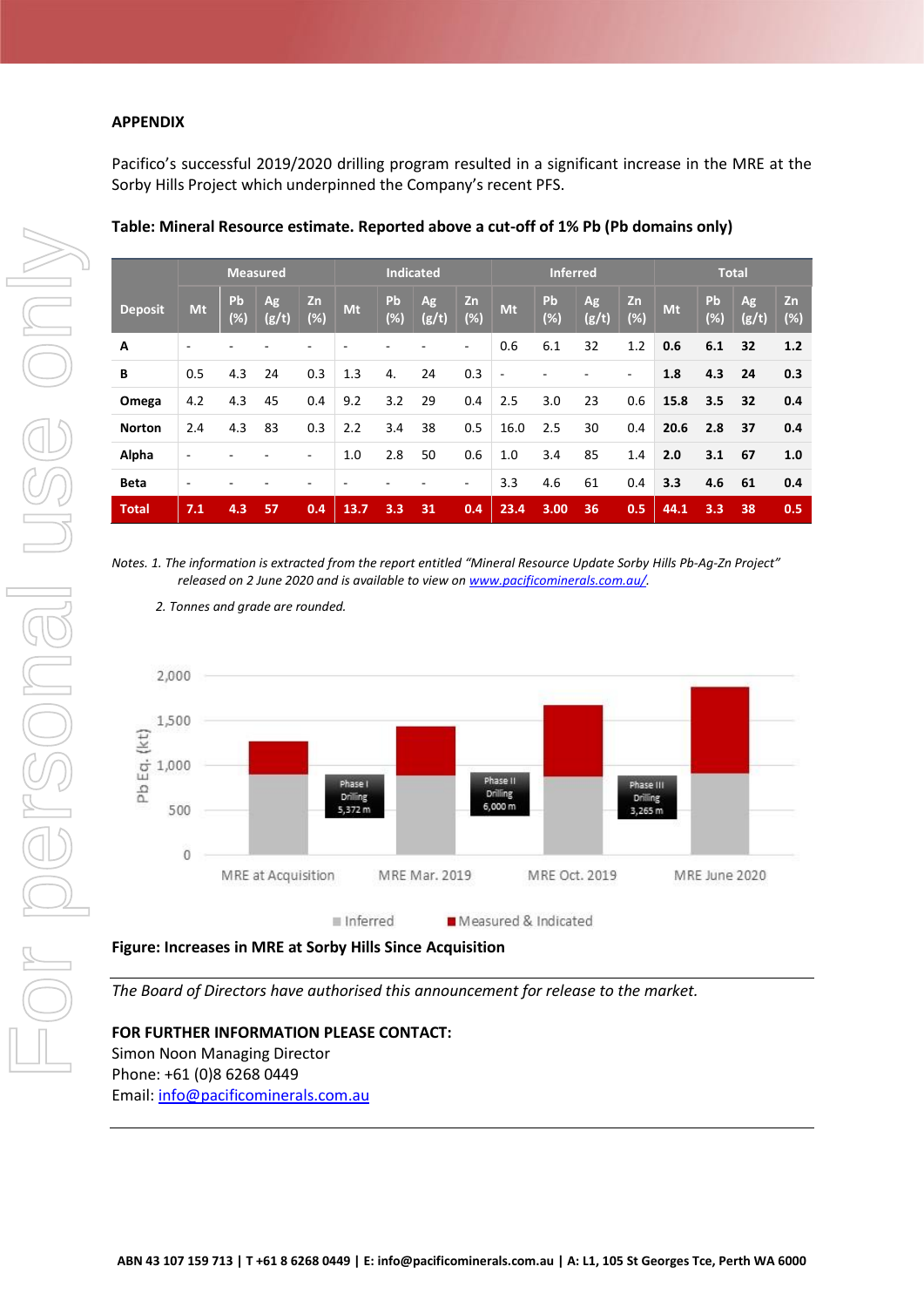## **APPENDIX**

Pacifico's successful 2019/2020 drilling program resulted in a significant increase in the MRE at the Sorby Hills Project which underpinned the Company's recent PFS.

|                | <b>Measured</b> |              |                    |              | <b>Indicated</b> |                  |                    |           | Inferred       |           |             |              | <b>Total</b> |              |             |           |
|----------------|-----------------|--------------|--------------------|--------------|------------------|------------------|--------------------|-----------|----------------|-----------|-------------|--------------|--------------|--------------|-------------|-----------|
| <b>Deposit</b> | Mt              | Pb<br>$(\%)$ | <b>Ag</b><br>(g/t) | Zn<br>$(\%)$ | Mt               | Pb<br>$(\%)$     | <b>Ag</b><br>(g/t) | Zn<br>(%) | Mt             | Pb<br>(%) | Ag<br>(g/t) | Zn<br>$(\%)$ | <b>Mt</b>    | Pb<br>$(\%)$ | Ag<br>(g/t) | Zn<br>(%) |
| A              |                 |              |                    |              |                  |                  |                    |           | 0.6            | 6.1       | 32          | 1.2          | 0.6          | 6.1          | 32          | 1.2       |
| B              | 0.5             | 4.3          | 24                 | 0.3          | 1.3              | 4.               | 24                 | 0.3       | $\overline{a}$ |           |             | ٠            | 1.8          | 4.3          | 24          | 0.3       |
| Omega          | 4.2             | 4.3          | 45                 | 0.4          | 9.2              | 3.2              | 29                 | 0.4       | 2.5            | 3.0       | 23          | 0.6          | 15.8         | 3.5          | 32          | 0.4       |
| <b>Norton</b>  | 2.4             | 4.3          | 83                 | 0.3          | 2.2              | 3.4              | 38                 | 0.5       | 16.0           | 2.5       | 30          | 0.4          | 20.6         | 2.8          | 37          | 0.4       |
| Alpha          |                 |              |                    |              | 1.0              | 2.8              | 50                 | 0.6       | 1.0            | 3.4       | 85          | 1.4          | 2.0          | 3.1          | 67          | 1.0       |
| <b>Beta</b>    |                 |              |                    |              |                  |                  |                    | ۰         | 3.3            | 4.6       | 61          | 0.4          | 3.3          | 4.6          | 61          | 0.4       |
| <b>Total</b>   | 7.1             | 4.3          | 57                 | 0.4          | 13.7             | $3.\overline{3}$ | 31                 | 0.4       | 23.4           | 3.00      | 36          | 0.5          | 44.1         | 3.3          | 38          | 0.5       |

## **Table: Mineral Resource estimate. Reported above a cut-off of 1% Pb (Pb domains only)**

*Notes. 1. The information is extracted from the report entitled "Mineral Resource Update Sorby Hills Pb-Ag-Zn Project" released on 2 June 2020 and is available to view o[n www.pacificominerals.com.au/.](http://www.pacificominerals.com.au/)*

*2. Tonnes and grade are rounded.*



## **Figure: Increases in MRE at Sorby Hills Since Acquisition**

*The Board of Directors have authorised this announcement for release to the market.* 

## **FOR FURTHER INFORMATION PLEASE CONTACT:**

Simon Noon Managing Director Phone: +61 (0)8 6268 0449 Email: [info@pacificominerals.com.au](mailto:info@pacificominerals.com.au)